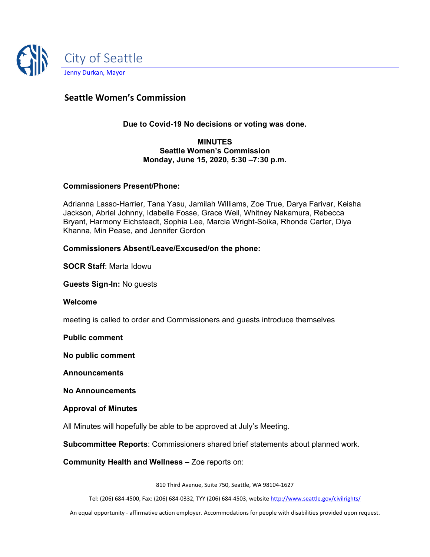

# **Seattle Women's Commission**

**Due to Covid-19 No decisions or voting was done.** 

#### **MINUTES Seattle Women's Commission Monday, June 15, 2020, 5:30 –7:30 p.m.**

#### **Commissioners Present/Phone:**

Adrianna Lasso-Harrier, Tana Yasu, Jamilah Williams, Zoe True, Darya Farivar, Keisha Jackson, Abriel Johnny, Idabelle Fosse, Grace Weil, Whitney Nakamura, Rebecca Bryant, Harmony Eichsteadt, Sophia Lee, Marcia Wright-Soika, Rhonda Carter, Diya Khanna, Min Pease, and Jennifer Gordon

#### **Commissioners Absent/Leave/Excused/on the phone:**

**SOCR Staff**: Marta Idowu

**Guests Sign-In:** No guests

**Welcome**

meeting is called to order and Commissioners and guests introduce themselves

**Public comment**

**No public comment**

**Announcements**

**No Announcements**

**Approval of Minutes**

All Minutes will hopefully be able to be approved at July's Meeting.

**Subcommittee Reports**: Commissioners shared brief statements about planned work.

**Community Health and Wellness** – Zoe reports on:

810 Third Avenue, Suite 750, Seattle, WA 98104-1627

Tel: (206) 684-4500, Fax: (206) 684-0332, TYY (206) 684-4503, websit[e http://www.seattle.gov/civilrights/](http://www.seattle.gov/civilrights/)

An equal opportunity - affirmative action employer. Accommodations for people with disabilities provided upon request.